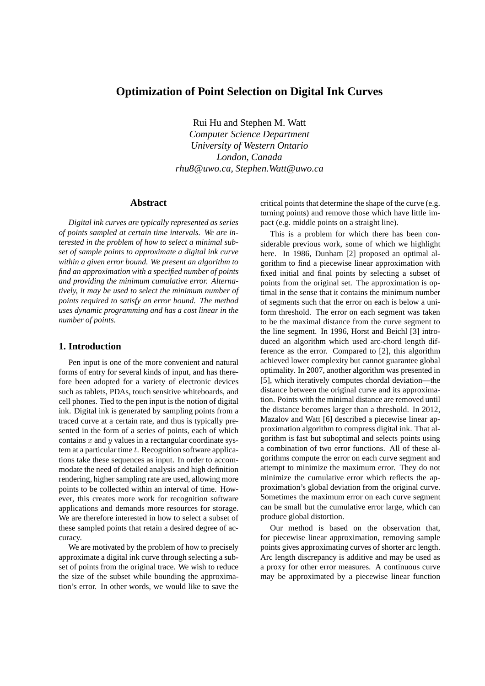# **Optimization of Point Selection on Digital Ink Curves**

Rui Hu and Stephen M. Watt *Computer Science Department University of Western Ontario London, Canada rhu8@uwo.ca, Stephen.Watt@uwo.ca*

# **Abstract**

*Digital ink curves are typically represented as series of points sampled at certain time intervals. We are interested in the problem of how to select a minimal subset of sample points to approximate a digital ink curve within a given error bound. We present an algorithm to find an approximation with a specified number of points and providing the minimum cumulative error. Alternatively, it may be used to select the minimum number of points required to satisfy an error bound. The method uses dynamic programming and has a cost linear in the number of points.*

# **1. Introduction**

Pen input is one of the more convenient and natural forms of entry for several kinds of input, and has therefore been adopted for a variety of electronic devices such as tablets, PDAs, touch sensitive whiteboards, and cell phones. Tied to the pen input is the notion of digital ink. Digital ink is generated by sampling points from a traced curve at a certain rate, and thus is typically presented in the form of a series of points, each of which contains  $x$  and  $y$  values in a rectangular coordinate system at a particular time  $t$ . Recognition software applications take these sequences as input. In order to accommodate the need of detailed analysis and high definition rendering, higher sampling rate are used, allowing more points to be collected within an interval of time. However, this creates more work for recognition software applications and demands more resources for storage. We are therefore interested in how to select a subset of these sampled points that retain a desired degree of accuracy.

We are motivated by the problem of how to precisely approximate a digital ink curve through selecting a subset of points from the original trace. We wish to reduce the size of the subset while bounding the approximation's error. In other words, we would like to save the critical points that determine the shape of the curve (e.g. turning points) and remove those which have little impact (e.g. middle points on a straight line).

This is a problem for which there has been considerable previous work, some of which we highlight here. In 1986, Dunham [2] proposed an optimal algorithm to find a piecewise linear approximation with fixed initial and final points by selecting a subset of points from the original set. The approximation is optimal in the sense that it contains the minimum number of segments such that the error on each is below a uniform threshold. The error on each segment was taken to be the maximal distance from the curve segment to the line segment. In 1996, Horst and Beichl [3] introduced an algorithm which used arc-chord length difference as the error. Compared to [2], this algorithm achieved lower complexity but cannot guarantee global optimality. In 2007, another algorithm was presented in [5], which iteratively computes chordal deviation—the distance between the original curve and its approximation. Points with the minimal distance are removed until the distance becomes larger than a threshold. In 2012, Mazalov and Watt [6] described a piecewise linear approximation algorithm to compress digital ink. That algorithm is fast but suboptimal and selects points using a combination of two error functions. All of these algorithms compute the error on each curve segment and attempt to minimize the maximum error. They do not minimize the cumulative error which reflects the approximation's global deviation from the original curve. Sometimes the maximum error on each curve segment can be small but the cumulative error large, which can produce global distortion.

Our method is based on the observation that, for piecewise linear approximation, removing sample points gives approximating curves of shorter arc length. Arc length discrepancy is additive and may be used as a proxy for other error measures. A continuous curve may be approximated by a piecewise linear function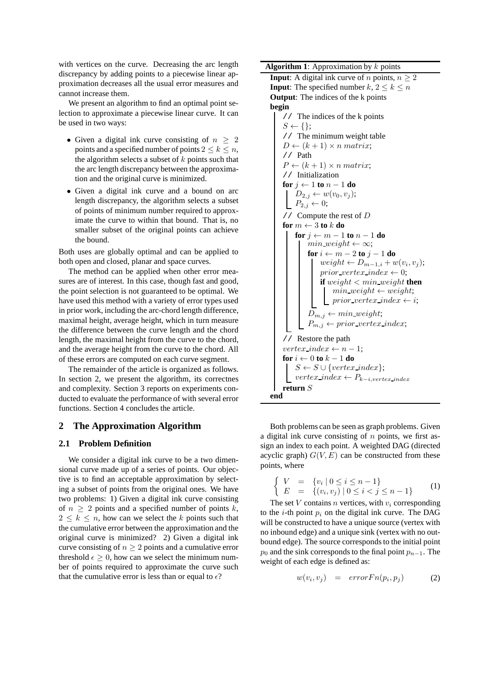with vertices on the curve. Decreasing the arc length discrepancy by adding points to a piecewise linear approximation decreases all the usual error measures and cannot increase them.

We present an algorithm to find an optimal point selection to approximate a piecewise linear curve. It can be used in two ways:

- Given a digital ink curve consisting of  $n > 2$ points and a specified number of points  $2 \leq k \leq n$ , the algorithm selects a subset of  $k$  points such that the arc length discrepancy between the approximation and the original curve is minimized.
- Given a digital ink curve and a bound on arc length discrepancy, the algorithm selects a subset of points of minimum number required to approximate the curve to within that bound. That is, no smaller subset of the original points can achieve the bound.

Both uses are globally optimal and can be applied to both open and closed, planar and space curves.

The method can be applied when other error measures are of interest. In this case, though fast and good, the point selection is not guaranteed to be optimal. We have used this method with a variety of error types used in prior work, including the arc-chord length difference, maximal height, average height, which in turn measure the difference between the curve length and the chord length, the maximal height from the curve to the chord, and the average height from the curve to the chord. All of these errors are computed on each curve segment.

The remainder of the article is organized as follows. In section 2, we present the algorithm, its correctnes and complexity. Section 3 reports on experiments conducted to evaluate the performance of with several error functions. Section 4 concludes the article.

# **2 The Approximation Algorithm**

# **2.1 Problem Definition**

We consider a digital ink curve to be a two dimensional curve made up of a series of points. Our objective is to find an acceptable approximation by selecting a subset of points from the original ones. We have two problems: 1) Given a digital ink curve consisting of  $n \geq 2$  points and a specified number of points k,  $2 \leq k \leq n$ , how can we select the k points such that the cumulative error between the approximation and the original curve is minimized? 2) Given a digital ink curve consisting of  $n \geq 2$  points and a cumulative error threshold  $\epsilon > 0$ , how can we select the minimum number of points required to approximate the curve such that the cumulative error is less than or equal to  $\epsilon$ ?

**Algorithm 1**: Approximation by k points

**Input**: A digital ink curve of *n* points,  $n \geq 2$ **Input**: The specified number  $k, 2 \leq k \leq n$ **Output**: The indices of the k points **begin** // The indices of the k points  $S \leftarrow \{\};$ // The minimum weight table



Both problems can be seen as graph problems. Given a digital ink curve consisting of  $n$  points, we first assign an index to each point. A weighted DAG (directed acyclic graph)  $G(V, E)$  can be constructed from these points, where

$$
\begin{cases}\nV = \{v_i \mid 0 \le i \le n-1\} \\
E = \{(v_i, v_j) \mid 0 \le i < j \le n-1\}\n\end{cases}\n\tag{1}
$$

The set  $V$  contains  $n$  vertices, with  $v_i$  corresponding to the *i*-th point  $p_i$  on the digital ink curve. The DAG will be constructed to have a unique source (vertex with no inbound edge) and a unique sink (vertex with no outbound edge). The source corresponds to the initial point  $p_0$  and the sink corresponds to the final point  $p_{n-1}$ . The weight of each edge is defined as:

$$
w(v_i, v_j) = errorFn(p_i, p_j) \qquad (2)
$$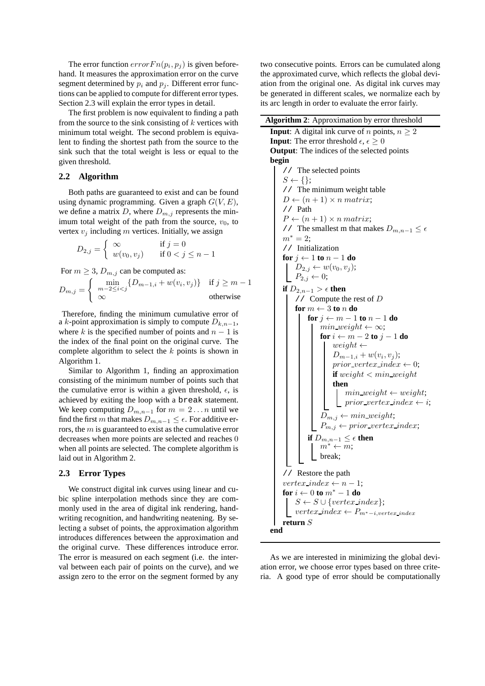The error function  $errorFn(p_i, p_j)$  is given beforehand. It measures the approximation error on the curve segment determined by  $p_i$  and  $p_j$ . Different error functions can be applied to compute for different error types. Section 2.3 will explain the error types in detail.

The first problem is now equivalent to finding a path from the source to the sink consisting of  $k$  vertices with minimum total weight. The second problem is equivalent to finding the shortest path from the source to the sink such that the total weight is less or equal to the given threshold.

### **2.2 Algorithm**

Both paths are guaranteed to exist and can be found using dynamic programming. Given a graph  $G(V, E)$ , we define a matrix D, where  $D_{m,i}$  represents the minimum total weight of the path from the source,  $v_0$ , to vertex  $v_i$  including m vertices. Initially, we assign

$$
D_{2,j} = \begin{cases} \infty & \text{if } j = 0\\ w(v_0, v_j) & \text{if } 0 < j \le n - 1 \end{cases}
$$

For  $m \geq 3$ ,  $D_{m,j}$  can be computed as:

$$
D_{m,j} = \begin{cases} \min_{m-2 \le i < j} \{D_{m-1,i} + w(v_i, v_j)\} & \text{if } j \ge m-1\\ \infty & \text{otherwise} \end{cases}
$$

Therefore, finding the minimum cumulative error of a k-point approximation is simply to compute  $D_{k,n-1}$ , where k is the specified number of points and  $n - 1$  is the index of the final point on the original curve. The complete algorithm to select the  $k$  points is shown in Algorithm 1.

Similar to Algorithm 1, finding an approximation consisting of the minimum number of points such that the cumulative error is within a given threshold,  $\epsilon$ , is achieved by exiting the loop with a break statement. We keep computing  $D_{m,n-1}$  for  $m = 2...n$  until we find the first m that makes  $D_{m,n-1} \leq \epsilon$ . For additive errors, the  $m$  is guaranteed to exist as the cumulative error decreases when more points are selected and reaches 0 when all points are selected. The complete algorithm is laid out in Algorithm 2.

#### **2.3 Error Types**

We construct digital ink curves using linear and cubic spline interpolation methods since they are commonly used in the area of digital ink rendering, handwriting recognition, and handwriting neatening. By selecting a subset of points, the approximation algorithm introduces differences between the approximation and the original curve. These differences introduce error. The error is measured on each segment (i.e. the interval between each pair of points on the curve), and we assign zero to the error on the segment formed by any two consecutive points. Errors can be cumulated along the approximated curve, which reflects the global deviation from the original one. As digital ink curves may be generated in different scales, we normalize each by its arc length in order to evaluate the error fairly.

| Algorithm 2: Approximation by error threshold                    |
|------------------------------------------------------------------|
| <b>Input:</b> A digital ink curve of <i>n</i> points, $n \geq 2$ |
| <b>Input:</b> The error threshold $\epsilon, \epsilon \geq 0$    |
| <b>Output:</b> The indices of the selected points                |
| begin                                                            |
| // The selected points                                           |
| $S \leftarrow \{\};$                                             |
| // The minimum weight table                                      |
| $D \leftarrow (n+1) \times n \text{ matrix};$                    |
| // Path                                                          |
| $P \leftarrow (n+1) \times n \text{ matrix};$                    |
| // The smallest m that makes $D_{m,n-1} \leq \epsilon$           |
| $m^* = 2;$                                                       |
| // Initialization                                                |
| for $j \leftarrow 1$ to $n-1$ do                                 |
| $D_{2,j} \leftarrow w(v_0, v_j);$                                |
| $P_{2,j} \leftarrow 0;$                                          |
| if $D_{2,n-1} > \epsilon$ then                                   |
| // Compute the rest of $D$                                       |
| for $m \leftarrow 3$ to $n$ do                                   |
| for $j \leftarrow m - 1$ to $n - 1$ do                           |
| $min\_weight \leftarrow \infty;$                                 |
| for $i \leftarrow m - 2$ to $j - 1$ do                           |
| $weight \leftarrow$                                              |
| $D_{m-1,i} + w(v_i, v_j);$<br>prior_vertex_index $\leftarrow 0;$ |
| <b>if</b> $weight < min\_weight$                                 |
| then                                                             |
| $min\_weight \leftarrow weight;$                                 |
| prior_vertex_index $\leftarrow i$ ;                              |
| $D_{m,j} \leftarrow min\_weight;$                                |
| $P_{m,j} \leftarrow prior\_vertex\_index;$                       |
|                                                                  |
| if $D_{m,n-1} \leq \epsilon$ then<br>$m^* \leftarrow m$ ;        |
| break;                                                           |
|                                                                  |
| // Restore the path                                              |
| vertex index $\leftarrow$ n - 1;                                 |
| for $i \leftarrow 0$ to $m^* - 1$ do                             |
| $S \leftarrow S \cup \{vertex\_index\};$                         |
| $vertex\_index \leftarrow P_{m^*-i,vertex\_index}$               |
| return $S$<br>end                                                |

As we are interested in minimizing the global deviation error, we choose error types based on three criteria. A good type of error should be computationally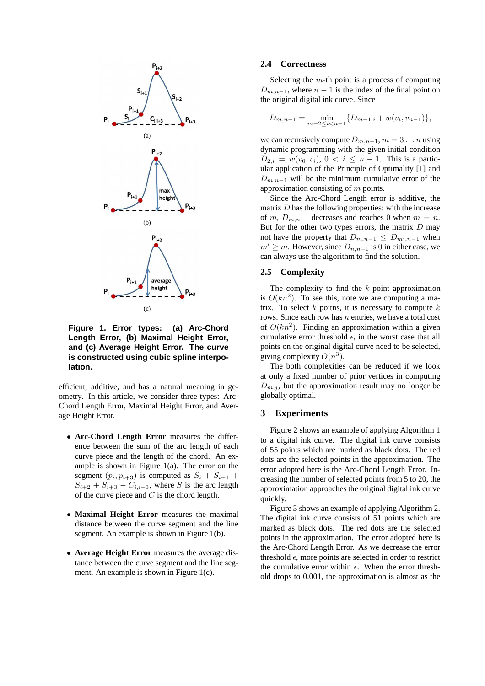

**Figure 1. Error types: (a) Arc-Chord Length Error, (b) Maximal Height Error, and (c) Average Height Error. The curve is constructed using cubic spline interpolation.**

efficient, additive, and has a natural meaning in geometry. In this article, we consider three types: Arc-Chord Length Error, Maximal Height Error, and Average Height Error.

- **Arc-Chord Length Error** measures the difference between the sum of the arc length of each curve piece and the length of the chord. An example is shown in Figure 1(a). The error on the segment  $(p_i, p_{i+3})$  is computed as  $S_i + S_{i+1}$  +  $S_{i+2} + S_{i+3} - C_{i,i+3}$ , where S is the arc length of the curve piece and  $C$  is the chord length.
- **Maximal Height Error** measures the maximal distance between the curve segment and the line segment. An example is shown in Figure 1(b).
- **Average Height Error** measures the average distance between the curve segment and the line segment. An example is shown in Figure 1(c).

#### **2.4 Correctness**

Selecting the  $m$ -th point is a process of computing  $D_{m,n-1}$ , where  $n-1$  is the index of the final point on the original digital ink curve. Since

$$
D_{m,n-1} = \min_{m-2 \le i < n-1} \{ D_{m-1,i} + w(v_i, v_{n-1}) \},\,
$$

we can recursively compute  $D_{m,n-1}$ ,  $m = 3...n$  using dynamic programming with the given initial condition  $D_{2,i} = w(v_0, v_i), 0 < i \leq n-1$ . This is a particular application of the Principle of Optimality [1] and  $D_{m,n-1}$  will be the minimum cumulative error of the approximation consisting of  $m$  points.

Since the Arc-Chord Length error is additive, the matrix  $D$  has the following properties: with the increase of m,  $D_{m,n-1}$  decreases and reaches 0 when  $m = n$ . But for the other two types errors, the matrix  $D$  may not have the property that  $D_{m,n-1} \leq D_{m',n-1}$  when  $m' > m$ . However, since  $D_{n,n-1}$  is 0 in either case, we can always use the algorithm to find the solution.

# **2.5 Complexity**

The complexity to find the  $k$ -point approximation is  $O(kn^2)$ . To see this, note we are computing a matrix. To select  $k$  poitns, it is necessary to compute  $k$ rows. Since each row has  $n$  entries, we have a total cost of  $O(kn^2)$ . Finding an approximation within a given cumulative error threshold  $\epsilon$ , in the worst case that all points on the original digital curve need to be selected, giving complexity  $O(n^3)$ .

The both complexities can be reduced if we look at only a fixed number of prior vertices in computing  $D_{m,j}$ , but the approximation result may no longer be globally optimal.

### **3 Experiments**

Figure 2 shows an example of applying Algorithm 1 to a digital ink curve. The digital ink curve consists of 55 points which are marked as black dots. The red dots are the selected points in the approximation. The error adopted here is the Arc-Chord Length Error. Increasing the number of selected points from 5 to 20, the approximation approaches the original digital ink curve quickly.

Figure 3 shows an example of applying Algorithm 2. The digital ink curve consists of 51 points which are marked as black dots. The red dots are the selected points in the approximation. The error adopted here is the Arc-Chord Length Error. As we decrease the error threshold  $\epsilon$ , more points are selected in order to restrict the cumulative error within  $\epsilon$ . When the error threshold drops to 0.001, the approximation is almost as the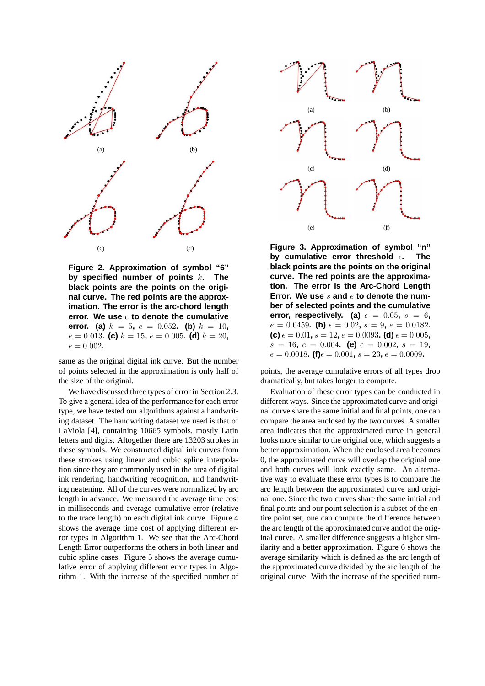

**Figure 2. Approximation of symbol "6" by specified number of points** k**. The black points are the points on the original curve. The red points are the approximation. The error is the arc-chord length error. We use** e **to denote the cumulative error.** (a)  $k = 5$ ,  $e = 0.052$ . (b)  $k = 10$ ,  $e = 0.013$ . (c)  $k = 15$ ,  $e = 0.005$ . (d)  $k = 20$ ,  $e = 0.002$ .

same as the original digital ink curve. But the number of points selected in the approximation is only half of the size of the original.

We have discussed three types of error in Section 2.3. To give a general idea of the performance for each error type, we have tested our algorithms against a handwriting dataset. The handwriting dataset we used is that of LaViola [4], containing 10665 symbols, mostly Latin letters and digits. Altogether there are 13203 strokes in these symbols. We constructed digital ink curves from these strokes using linear and cubic spline interpolation since they are commonly used in the area of digital ink rendering, handwriting recognition, and handwriting neatening. All of the curves were normalized by arc length in advance. We measured the average time cost in milliseconds and average cumulative error (relative to the trace length) on each digital ink curve. Figure 4 shows the average time cost of applying different error types in Algorithm 1. We see that the Arc-Chord Length Error outperforms the others in both linear and cubic spline cases. Figure 5 shows the average cumulative error of applying different error types in Algorithm 1. With the increase of the specified number of



**Figure 3. Approximation of symbol "n" by cumulative error threshold**  $\epsilon$ **. The black points are the points on the original curve. The red points are the approximation. The error is the Arc-Chord Length Error. We use** s **and** e **to denote the number of selected points and the cumulative error, respectively.** (a)  $\epsilon = 0.05$ ,  $s = 6$ ,  $e = 0.0459$ . **(b)**  $\epsilon = 0.02$ ,  $s = 9$ ,  $e = 0.0182$ . **(c)**  $\epsilon = 0.01$ ,  $s = 12$ ,  $e = 0.0093$ . **(d)**  $\epsilon = 0.005$ ,  $s = 16$ ,  $e = 0.004$ . **(e)**  $\epsilon = 0.002$ ,  $s = 19$ ,  $e = 0.0018$ . (f) $\epsilon = 0.001$ ,  $s = 23$ ,  $e = 0.0009$ .

points, the average cumulative errors of all types drop dramatically, but takes longer to compute.

Evaluation of these error types can be conducted in different ways. Since the approximated curve and original curve share the same initial and final points, one can compare the area enclosed by the two curves. A smaller area indicates that the approximated curve in general looks more similar to the original one, which suggests a better approximation. When the enclosed area becomes 0, the approximated curve will overlap the original one and both curves will look exactly same. An alternative way to evaluate these error types is to compare the arc length between the approximated curve and original one. Since the two curves share the same initial and final points and our point selection is a subset of the entire point set, one can compute the difference between the arc length of the approximated curve and of the original curve. A smaller difference suggests a higher similarity and a better approximation. Figure 6 shows the average similarity which is defined as the arc length of the approximated curve divided by the arc length of the original curve. With the increase of the specified num-